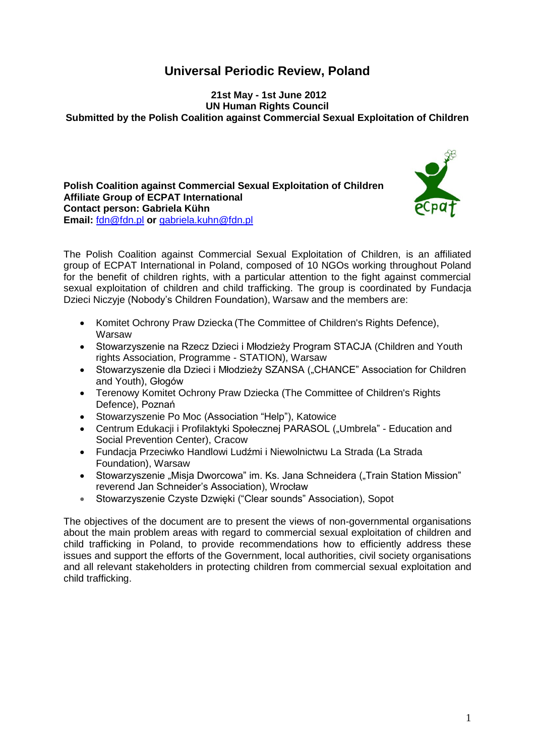# **Universal Periodic Review, Poland**

**21st May - 1st June 2012 UN Human Rights Council Submitted by the Polish Coalition against Commercial Sexual Exploitation of Children** 

**Polish Coalition against Commercial Sexual Exploitation of Children Affiliate Group of ECPAT International Contact person: Gabriela Kühn Email:** [fdn@fdn.pl](mailto:fdn@fdn.pl) **or** [gabriela.kuhn@fdn.pl](mailto:gabriela.kuhn@fdn.pl)



The Polish Coalition against Commercial Sexual Exploitation of Children, is an affiliated group of ECPAT International in Poland, composed of 10 NGOs working throughout Poland for the benefit of children rights, with a particular attention to the fight against commercial sexual exploitation of children and child trafficking. The group is coordinated by Fundacja Dzieci Niczyje (Nobody's Children Foundation), Warsaw and the members are:

- Komitet Ochrony Praw Dziecka (The Committee of Children's Rights Defence), Warsaw
- Stowarzyszenie na Rzecz Dzieci i Młodzieży Program STACJA (Children and Youth rights Association, Programme - STATION), Warsaw
- Stowarzyszenie dla Dzieci i Młodzieży SZANSA ("CHANCE" Association for Children and Youth), Głogów
- Terenowy Komitet Ochrony Praw Dziecka (The Committee of Children's Rights Defence), Poznań
- Stowarzyszenie Po Moc (Association "Help"), Katowice
- Centrum Edukacji i Profilaktyki Społecznej PARASOL ("Umbrela" Education and Social Prevention Center), Cracow
- Fundacja Przeciwko Handlowi Ludźmi i Niewolnictwu La Strada (La Strada Foundation), Warsaw
- Stowarzyszenie "Misja Dworcowa" im. Ks. Jana Schneidera ("Train Station Mission" reverend Jan Schneider's Association), Wrocław
- Stowarzyszenie Czyste Dzwięki ("Clear sounds" Association), Sopot

The objectives of the document are to present the views of non-governmental organisations about the main problem areas with regard to commercial sexual exploitation of children and child trafficking in Poland, to provide recommendations how to efficiently address these issues and support the efforts of the Government, local authorities, civil society organisations and all relevant stakeholders in protecting children from commercial sexual exploitation and child trafficking.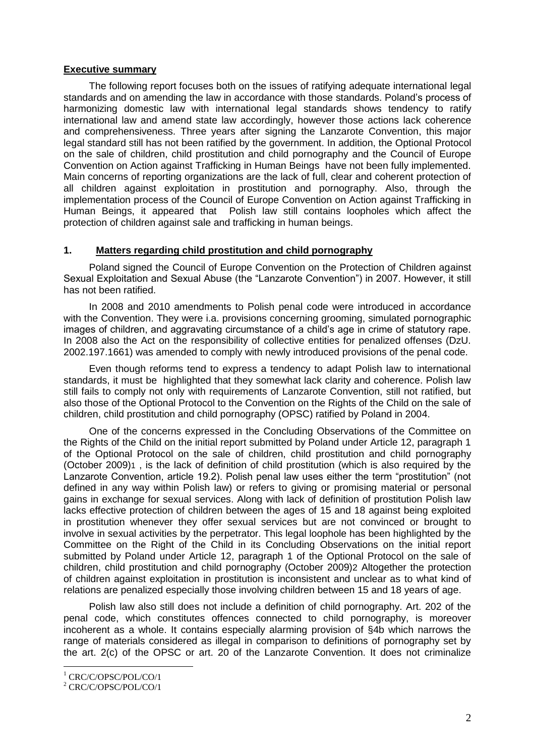## **Executive summary**

The following report focuses both on the issues of ratifying adequate international legal standards and on amending the law in accordance with those standards. Poland's process of harmonizing domestic law with international legal standards shows tendency to ratify international law and amend state law accordingly, however those actions lack coherence and comprehensiveness. Three years after signing the Lanzarote Convention, this major legal standard still has not been ratified by the government. In addition, the Optional Protocol on the sale of children, child prostitution and child pornography and the Council of Europe Convention on Action against Trafficking in Human Beings have not been fully implemented. Main concerns of reporting organizations are the lack of full, clear and coherent protection of all children against exploitation in prostitution and pornography. Also, through the implementation process of the Council of Europe Convention on Action against Trafficking in Human Beings, it appeared that Polish law still contains loopholes which affect the protection of children against sale and trafficking in human beings.

# **1. Matters regarding child prostitution and child pornography**

Poland signed the Council of Europe Convention on the Protection of Children against Sexual Exploitation and Sexual Abuse (the "Lanzarote Convention") in 2007. However, it still has not been ratified.

In 2008 and 2010 amendments to Polish penal code were introduced in accordance with the Convention. They were i.a. provisions concerning grooming, simulated pornographic images of children, and aggravating circumstance of a child's age in crime of statutory rape. In 2008 also the Act on the responsibility of collective entities for penalized offenses (DzU. 2002.197.1661) was amended to comply with newly introduced provisions of the penal code.

Even though reforms tend to express a tendency to adapt Polish law to international standards, it must be highlighted that they somewhat lack clarity and coherence. Polish law still fails to comply not only with requirements of Lanzarote Convention, still not ratified, but also those of the Optional Protocol to the Convention on the Rights of the Child on the sale of children, child prostitution and child pornography (OPSC) ratified by Poland in 2004.

One of the concerns expressed in the Concluding Observations of the Committee on the Rights of the Child on the initial report submitted by Poland under Article 12, paragraph 1 of the Optional Protocol on the sale of children, child prostitution and child pornography (October 2009)1 , is the lack of definition of child prostitution (which is also required by the Lanzarote Convention, article 19.2). Polish penal law uses either the term "prostitution" (not defined in any way within Polish law) or refers to giving or promising material or personal gains in exchange for sexual services. Along with lack of definition of prostitution Polish law lacks effective protection of children between the ages of 15 and 18 against being exploited in prostitution whenever they offer sexual services but are not convinced or brought to involve in sexual activities by the perpetrator. This legal loophole has been highlighted by the Committee on the Right of the Child in its Concluding Observations on the initial report submitted by Poland under Article 12, paragraph 1 of the Optional Protocol on the sale of children, child prostitution and child pornography (October 2009)2 Altogether the protection of children against exploitation in prostitution is inconsistent and unclear as to what kind of relations are penalized especially those involving children between 15 and 18 years of age.

Polish law also still does not include a definition of child pornography. Art. 202 of the penal code, which constitutes offences connected to child pornography, is moreover incoherent as a whole. It contains especially alarming provision of §4b which narrows the range of materials considered as illegal in comparison to definitions of pornography set by the art. 2(c) of the OPSC or art. 20 of the Lanzarote Convention. It does not criminalize

<u>.</u>

<sup>&</sup>lt;sup>1</sup> CRC/C/OPSC/POL/CO/1

<sup>2</sup> CRC/C/OPSC/POL/CO/1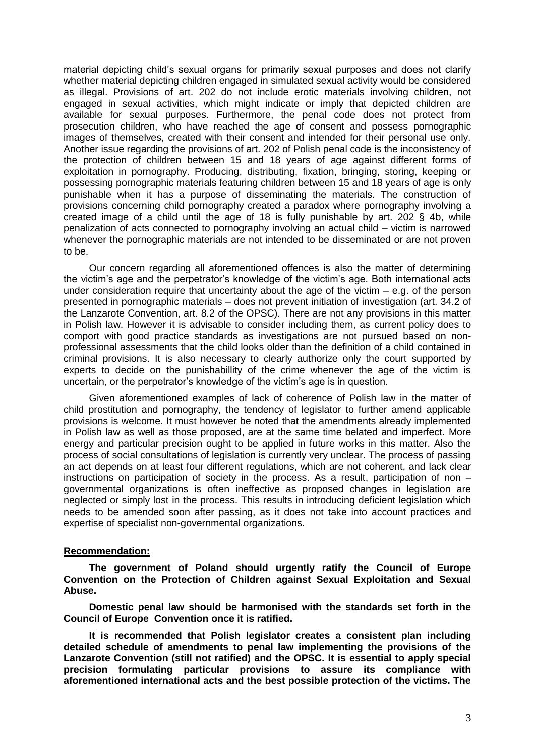material depicting child's sexual organs for primarily sexual purposes and does not clarify whether material depicting children engaged in simulated sexual activity would be considered as illegal. Provisions of art. 202 do not include erotic materials involving children, not engaged in sexual activities, which might indicate or imply that depicted children are available for sexual purposes. Furthermore, the penal code does not protect from prosecution children, who have reached the age of consent and possess pornographic images of themselves, created with their consent and intended for their personal use only. Another issue regarding the provisions of art. 202 of Polish penal code is the inconsistency of the protection of children between 15 and 18 years of age against different forms of exploitation in pornography. Producing, distributing, fixation, bringing, storing, keeping or possessing pornographic materials featuring children between 15 and 18 years of age is only punishable when it has a purpose of disseminating the materials. The construction of provisions concerning child pornography created a paradox where pornography involving a created image of a child until the age of 18 is fully punishable by art. 202  $\S$  4b, while penalization of acts connected to pornography involving an actual child – victim is narrowed whenever the pornographic materials are not intended to be disseminated or are not proven to be.

Our concern regarding all aforementioned offences is also the matter of determining the victim's age and the perpetrator's knowledge of the victim's age. Both international acts under consideration require that uncertainty about the age of the victim  $-$  e.g. of the person presented in pornographic materials – does not prevent initiation of investigation (art. 34.2 of the Lanzarote Convention, art. 8.2 of the OPSC). There are not any provisions in this matter in Polish law. However it is advisable to consider including them, as current policy does to comport with good practice standards as investigations are not pursued based on nonprofessional assessments that the child looks older than the definition of a child contained in criminal provisions. It is also necessary to clearly authorize only the court supported by experts to decide on the punishabillity of the crime whenever the age of the victim is uncertain, or the perpetrator's knowledge of the victim's age is in question.

Given aforementioned examples of lack of coherence of Polish law in the matter of child prostitution and pornography, the tendency of legislator to further amend applicable provisions is welcome. It must however be noted that the amendments already implemented in Polish law as well as those proposed, are at the same time belated and imperfect. More energy and particular precision ought to be applied in future works in this matter. Also the process of social consultations of legislation is currently very unclear. The process of passing an act depends on at least four different regulations, which are not coherent, and lack clear instructions on participation of society in the process. As a result, participation of non – governmental organizations is often ineffective as proposed changes in legislation are neglected or simply lost in the process. This results in introducing deficient legislation which needs to be amended soon after passing, as it does not take into account practices and expertise of specialist non-governmental organizations.

#### **Recommendation:**

**The government of Poland should urgently ratify the Council of Europe Convention on the Protection of Children against Sexual Exploitation and Sexual Abuse.** 

**Domestic penal law should be harmonised with the standards set forth in the Council of Europe Convention once it is ratified.** 

**It is recommended that Polish legislator creates a consistent plan including detailed schedule of amendments to penal law implementing the provisions of the Lanzarote Convention (still not ratified) and the OPSC. It is essential to apply special precision formulating particular provisions to assure its compliance with aforementioned international acts and the best possible protection of the victims. The**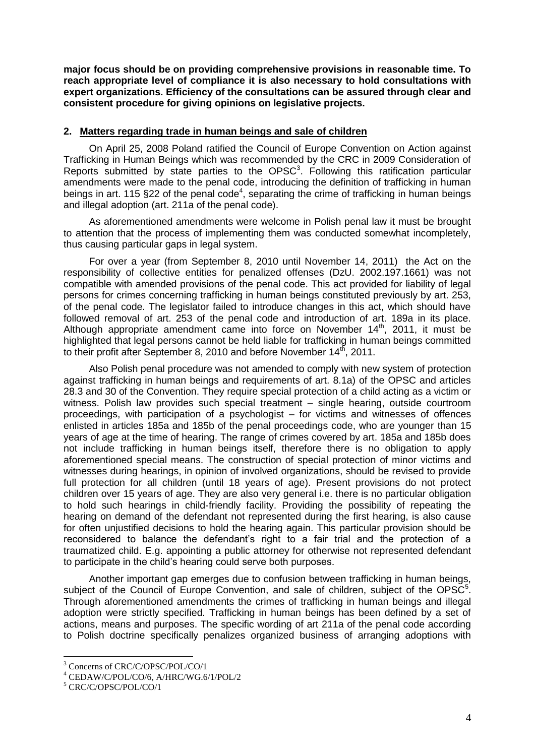**major focus should be on providing comprehensive provisions in reasonable time. To reach appropriate level of compliance it is also necessary to hold consultations with expert organizations. Efficiency of the consultations can be assured through clear and consistent procedure for giving opinions on legislative projects.**

## **2. Matters regarding trade in human beings and sale of children**

On April 25, 2008 Poland ratified the Council of Europe Convention on Action against Trafficking in Human Beings which was recommended by the CRC in 2009 Consideration of Reports submitted by state parties to the  $OPSC<sup>3</sup>$ . Following this ratification particular amendments were made to the penal code, introducing the definition of trafficking in human beings in art. 115 §22 of the penal code<sup>4</sup>, separating the crime of trafficking in human beings and illegal adoption (art. 211a of the penal code).

As aforementioned amendments were welcome in Polish penal law it must be brought to attention that the process of implementing them was conducted somewhat incompletely, thus causing particular gaps in legal system.

For over a year (from September 8, 2010 until November 14, 2011) the Act on the responsibility of collective entities for penalized offenses (DzU. 2002.197.1661) was not compatible with amended provisions of the penal code. This act provided for liability of legal persons for crimes concerning trafficking in human beings constituted previously by art. 253, of the penal code. The legislator failed to introduce changes in this act, which should have followed removal of art. 253 of the penal code and introduction of art. 189a in its place. Although appropriate amendment came into force on November  $14<sup>th</sup>$ , 2011, it must be highlighted that legal persons cannot be held liable for trafficking in human beings committed to their profit after September 8, 2010 and before November 14th, 2011.

Also Polish penal procedure was not amended to comply with new system of protection against trafficking in human beings and requirements of art. 8.1a) of the OPSC and articles 28.3 and 30 of the Convention. They require special protection of a child acting as a victim or witness. Polish law provides such special treatment – single hearing, outside courtroom proceedings, with participation of a psychologist – for victims and witnesses of offences enlisted in articles 185a and 185b of the penal proceedings code, who are younger than 15 years of age at the time of hearing. The range of crimes covered by art. 185a and 185b does not include trafficking in human beings itself, therefore there is no obligation to apply aforementioned special means. The construction of special protection of minor victims and witnesses during hearings, in opinion of involved organizations, should be revised to provide full protection for all children (until 18 years of age). Present provisions do not protect children over 15 years of age. They are also very general i.e. there is no particular obligation to hold such hearings in child-friendly facility. Providing the possibility of repeating the hearing on demand of the defendant not represented during the first hearing, is also cause for often unjustified decisions to hold the hearing again. This particular provision should be reconsidered to balance the defendant's right to a fair trial and the protection of a traumatized child. E.g. appointing a public attorney for otherwise not represented defendant to participate in the child's hearing could serve both purposes.

Another important gap emerges due to confusion between trafficking in human beings, subject of the Council of Europe Convention, and sale of children, subject of the OPSC $5$ . Through aforementioned amendments the crimes of trafficking in human beings and illegal adoption were strictly specified. Trafficking in human beings has been defined by a set of actions, means and purposes. The specific wording of art 211a of the penal code according to Polish doctrine specifically penalizes organized business of arranging adoptions with

1

<sup>3</sup> Concerns of CRC/C/OPSC/POL/CO/1

<sup>4</sup> CEDAW/C/POL/CO/6, A/HRC/WG.6/1/POL/2

<sup>5</sup> CRC/C/OPSC/POL/CO/1